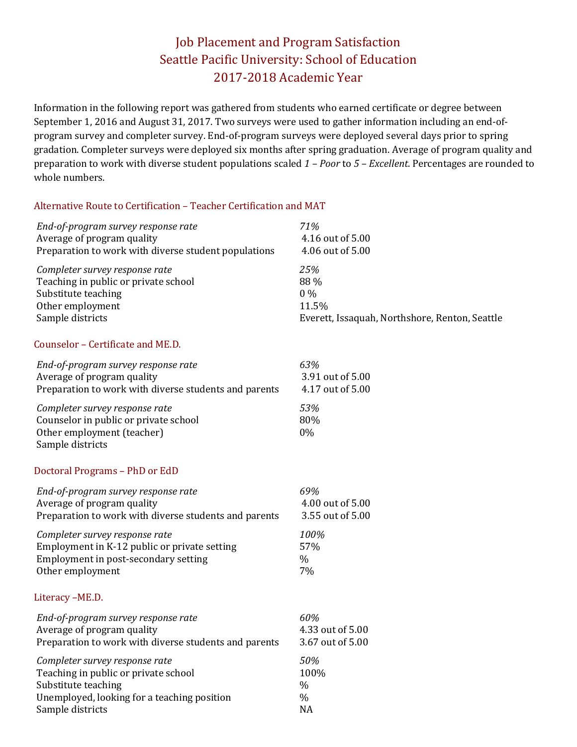# Job Placement and Program Satisfaction Seattle Pacific University: School of Education 2017-2018 Academic Year

Information in the following report was gathered from students who earned certificate or degree between September 1, 2016 and August 31, 2017. Two surveys were used to gather information including an end-ofprogram survey and completer survey. End-of-program surveys were deployed several days prior to spring gradation. Completer surveys were deployed six months after spring graduation. Average of program quality and preparation to work with diverse student populations scaled *1 – Poor* to *5 – Excellent*. Percentages are rounded to whole numbers.

### Alternative Route to Certification – Teacher Certification and MAT

| End-of-program survey response rate                                                                                       | 71%                                            |
|---------------------------------------------------------------------------------------------------------------------------|------------------------------------------------|
| Average of program quality                                                                                                | 4.16 out of 5.00                               |
| Preparation to work with diverse student populations                                                                      | 4.06 out of 5.00                               |
| Completer survey response rate                                                                                            | 25%                                            |
| Teaching in public or private school                                                                                      | 88 %                                           |
| Substitute teaching                                                                                                       | $0\%$                                          |
| Other employment                                                                                                          | 11.5%                                          |
| Sample districts                                                                                                          | Everett, Issaquah, Northshore, Renton, Seattle |
| Counselor - Certificate and ME.D.                                                                                         |                                                |
| End-of-program survey response rate                                                                                       | 63%                                            |
| Average of program quality                                                                                                | 3.91 out of 5.00                               |
| Preparation to work with diverse students and parents                                                                     | 4.17 out of 5.00                               |
| Completer survey response rate<br>Counselor in public or private school<br>Other employment (teacher)<br>Sample districts | 53%<br>80%<br>0%                               |
| Doctoral Programs - PhD or EdD                                                                                            |                                                |
| End-of-program survey response rate                                                                                       | 69%                                            |
| Average of program quality                                                                                                | 4.00 out of 5.00                               |
| Preparation to work with diverse students and parents                                                                     | 3.55 out of 5.00                               |
| Completer survey response rate                                                                                            | 100%                                           |
| Employment in K-12 public or private setting                                                                              | 57%                                            |
| Employment in post-secondary setting                                                                                      | $\%$                                           |
| Other employment                                                                                                          | 7%                                             |
| Literacy -ME.D.                                                                                                           |                                                |
| End-of-program survey response rate                                                                                       | 60%                                            |
| Average of program quality                                                                                                | 4.33 out of 5.00                               |
| Preparation to work with diverse students and parents                                                                     | 3.67 out of 5.00                               |
| Completer survey response rate                                                                                            | 50%                                            |
| Teaching in public or private school                                                                                      | 100%                                           |
| Substitute teaching                                                                                                       | $\%$                                           |
| Unemployed, looking for a teaching position                                                                               | $\%$                                           |
| Sample districts                                                                                                          | <b>NA</b>                                      |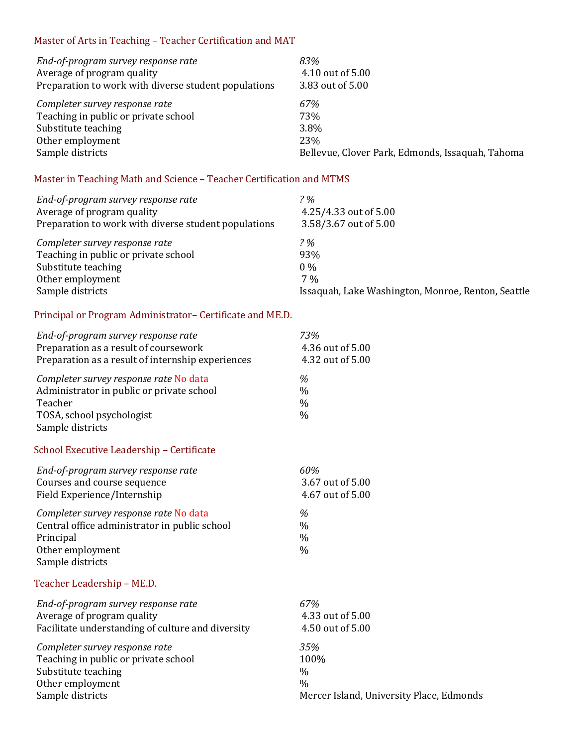### Master of Arts in Teaching – Teacher Certification and MAT

| End-of-program survey response rate                  | 83%                                              |
|------------------------------------------------------|--------------------------------------------------|
| Average of program quality                           | 4.10 out of 5.00                                 |
| Preparation to work with diverse student populations | 3.83 out of 5.00                                 |
| Completer survey response rate                       | 67%                                              |
| Teaching in public or private school                 | 73%                                              |
| Substitute teaching                                  | 3.8%                                             |
| Other employment                                     | 23\%                                             |
| Sample districts                                     | Bellevue, Clover Park, Edmonds, Issaquah, Tahoma |

## Master in Teaching Math and Science – Teacher Certification and MTMS

| End-of-program survey response rate<br>Average of program quality<br>Preparation to work with diverse student populations | 2%<br>4.25/4.33 out of 5.00<br>3.58/3.67 out of 5.00 |
|---------------------------------------------------------------------------------------------------------------------------|------------------------------------------------------|
| Completer survey response rate                                                                                            | 2%                                                   |
| Teaching in public or private school                                                                                      | 93%                                                  |
| Substitute teaching                                                                                                       | $0\%$                                                |
| Other employment                                                                                                          | $7\%$                                                |
| Sample districts                                                                                                          | Issaquah, Lake Washington, Monroe, Renton, Seattle   |

### Principal or Program Administrator– Certificate and ME.D.

| End-of-program survey response rate                                                                                                             | 73%                                         |
|-------------------------------------------------------------------------------------------------------------------------------------------------|---------------------------------------------|
| Preparation as a result of coursework                                                                                                           | 4.36 out of 5.00                            |
| Preparation as a result of internship experiences                                                                                               | 4.32 out of 5.00                            |
| Completer survey response rate No data<br>Administrator in public or private school<br>Teacher<br>TOSA, school psychologist<br>Sample districts | %<br>$\frac{0}{0}$<br>$\%$<br>$\frac{0}{0}$ |
| School Executive Leadership - Certificate                                                                                                       |                                             |
| End-of-program survey response rate                                                                                                             | 60%                                         |
| Courses and course sequence                                                                                                                     | 3.67 out of 5.00                            |
| Field Experience/Internship                                                                                                                     | 4.67 out of 5.00                            |
| Completer survey response rate No data<br>Central office administrator in public school<br>Principal<br>Other employment<br>Sample districts    | %<br>$\%$<br>$\frac{0}{0}$<br>$\frac{0}{0}$ |
| Teacher Leadership - ME.D.                                                                                                                      |                                             |
| End-of-program survey response rate                                                                                                             | 67%                                         |
| Average of program quality                                                                                                                      | 4.33 out of 5.00                            |
| Facilitate understanding of culture and diversity                                                                                               | 4.50 out of 5.00                            |
| Completer survey response rate                                                                                                                  | 35%                                         |
| Teaching in public or private school                                                                                                            | 100%                                        |
| Substitute teaching                                                                                                                             | $\frac{0}{0}$                               |
| Other employment                                                                                                                                | $\frac{0}{0}$                               |
| Sample districts                                                                                                                                | Mercer Island, University Place, Edmonds    |